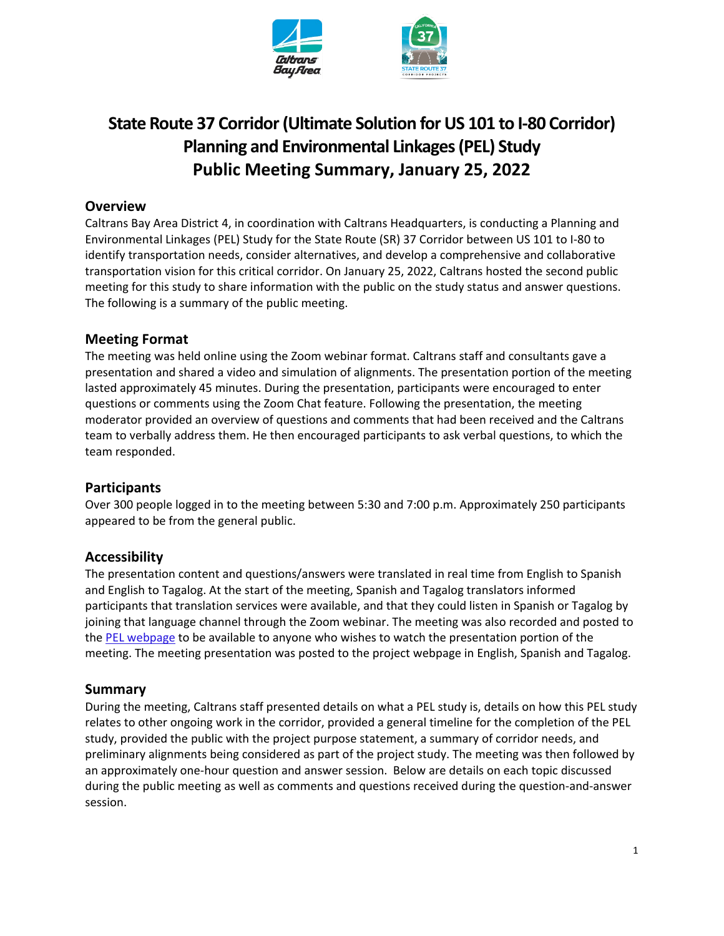

# **State Route 37 Corridor (Ultimate Solution for US 101 to I-80 Corridor) Planning and Environmental Linkages (PEL) Study Public Meeting Summary, January 25, 2022**

# **Overview**

Caltrans Bay Area District 4, in coordination with Caltrans Headquarters, is conducting a Planning and Environmental Linkages (PEL) Study for the State Route (SR) 37 Corridor between US 101 to I-80 to identify transportation needs, consider alternatives, and develop a comprehensive and collaborative transportation vision for this critical corridor. On January 25, 2022, Caltrans hosted the second public meeting for this study to share information with the public on the study status and answer questions. The following is a summary of the public meeting.

# **Meeting Format**

The meeting was held online using the Zoom webinar format. Caltrans staff and consultants gave a presentation and shared a video and simulation of alignments. The presentation portion of the meeting lasted approximately 45 minutes. During the presentation, participants were encouraged to enter questions or comments using the Zoom Chat feature. Following the presentation, the meeting moderator provided an overview of questions and comments that had been received and the Caltrans team to verbally address them. He then encouraged participants to ask verbal questions, to which the team responded.

### **Participants**

Over 300 people logged in to the meeting between 5:30 and 7:00 p.m. Approximately 250 participants appeared to be from the general public.

### **Accessibility**

The presentation content and questions/answers were translated in real time from English to Spanish and English to Tagalog. At the start of the meeting, Spanish and Tagalog translators informed participants that translation services were available, and that they could listen in Spanish or Tagalog by joining that language channel through the Zoom webinar. The meeting was also recorded and posted to the PEL webpage to be available to anyone who wishes to watch the presentation portion of the meeting. The meeting presentation was posted to the project webpage in English, Spanish and Tagalog.

### **Summary**

During the meeting, Caltrans staff presented details on what a PEL study is, details on how this PEL study relates to other ongoing work in the corridor, provided a general timeline for the completion of the PEL study, provided the public with the project purpose statement, a summary of corridor needs, and preliminary alignments being considered as part of the project study. The meeting was then followed by an approximately one-hour question and answer session. Below are details on each topic discussed during the public meeting as well as comments and questions received during the question-and-answer session.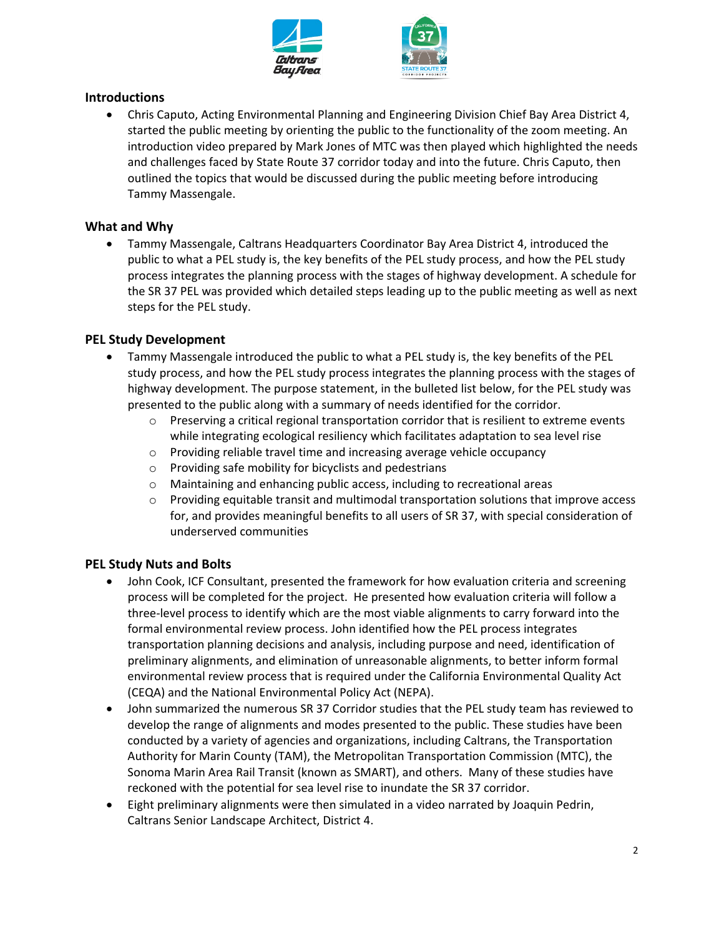

### **Introductions**

• Chris Caputo, Acting Environmental Planning and Engineering Division Chief Bay Area District 4, started the public meeting by orienting the public to the functionality of the zoom meeting. An introduction video prepared by Mark Jones of MTC was then played which highlighted the needs and challenges faced by State Route 37 corridor today and into the future. Chris Caputo, then outlined the topics that would be discussed during the public meeting before introducing Tammy Massengale.

#### **What and Why**

• Tammy Massengale, Caltrans Headquarters Coordinator Bay Area District 4, introduced the public to what a PEL study is, the key benefits of the PEL study process, and how the PEL study process integrates the planning process with the stages of highway development. A schedule for the SR 37 PEL was provided which detailed steps leading up to the public meeting as well as next steps for the PEL study.

#### **PEL Study Development**

- Tammy Massengale introduced the public to what a PEL study is, the key benefits of the PEL study process, and how the PEL study process integrates the planning process with the stages of highway development. The purpose statement, in the bulleted list below, for the PEL study was presented to the public along with a summary of needs identified for the corridor.
	- $\circ$  Preserving a critical regional transportation corridor that is resilient to extreme events while integrating ecological resiliency which facilitates adaptation to sea level rise
	- $\circ$  Providing reliable travel time and increasing average vehicle occupancy
	- o Providing safe mobility for bicyclists and pedestrians
	- o Maintaining and enhancing public access, including to recreational areas
	- o Providing equitable transit and multimodal transportation solutions that improve access for, and provides meaningful benefits to all users of SR 37, with special consideration of underserved communities

#### **PEL Study Nuts and Bolts**

- John Cook, ICF Consultant, presented the framework for how evaluation criteria and screening process will be completed for the project. He presented how evaluation criteria will follow a three-level process to identify which are the most viable alignments to carry forward into the formal environmental review process. John identified how the PEL process integrates transportation planning decisions and analysis, including purpose and need, identification of preliminary alignments, and elimination of unreasonable alignments, to better inform formal environmental review process that is required under the California Environmental Quality Act (CEQA) and the National Environmental Policy Act (NEPA).
- John summarized the numerous SR 37 Corridor studies that the PEL study team has reviewed to develop the range of alignments and modes presented to the public. These studies have been conducted by a variety of agencies and organizations, including Caltrans, the Transportation Authority for Marin County (TAM), the Metropolitan Transportation Commission (MTC), the Sonoma Marin Area Rail Transit (known as SMART), and others. Many of these studies have reckoned with the potential for sea level rise to inundate the SR 37 corridor.
- Eight preliminary alignments were then simulated in a video narrated by Joaquin Pedrin, Caltrans Senior Landscape Architect, District 4.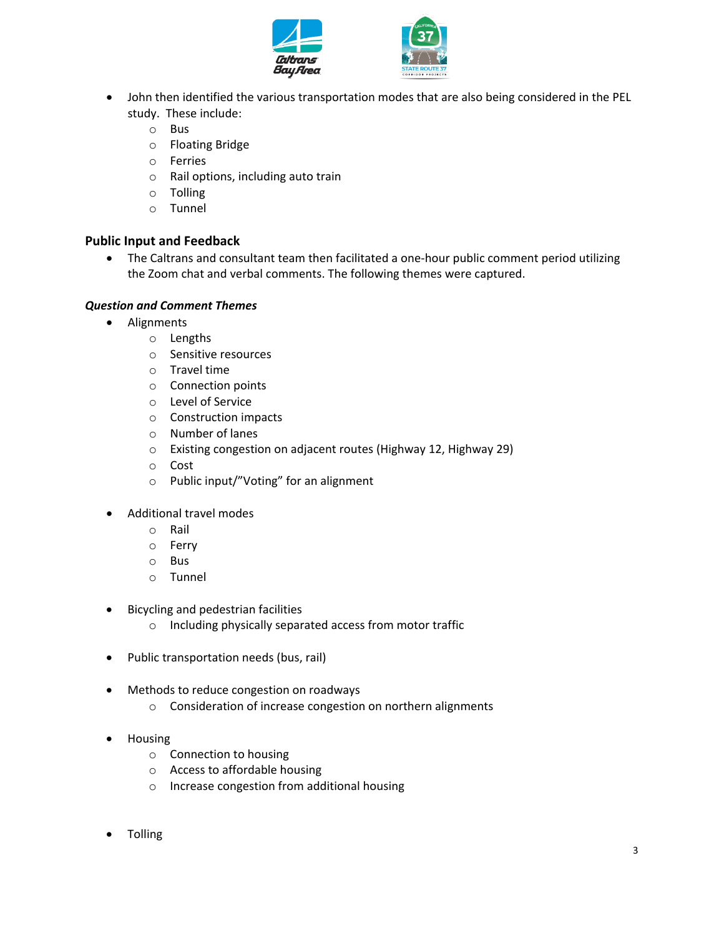



- John then identified the various transportation modes that are also being considered in the PEL study. These include:
	- o Bus
	- o Floating Bridge
	- o Ferries
	- o Rail options, including auto train
	- o Tolling
	- o Tunnel

#### **Public Input and Feedback**

• The Caltrans and consultant team then facilitated a one-hour public comment period utilizing the Zoom chat and verbal comments. The following themes were captured.

#### *Question and Comment Themes*

- Alignments
	- o Lengths
	- o Sensitive resources
	- o Travel time
	- o Connection points
	- o Level of Service
	- o Construction impacts
	- o Number of lanes
	- o Existing congestion on adjacent routes (Highway 12, Highway 29)
	- o Cost
	- o Public input/"Voting" for an alignment
- Additional travel modes
	- o Rail
	- o Ferry
	- o Bus
	- o Tunnel
- Bicycling and pedestrian facilities
	- o Including physically separated access from motor traffic
- Public transportation needs (bus, rail)
- Methods to reduce congestion on roadways
	- o Consideration of increase congestion on northern alignments
- Housing
	- o Connection to housing
	- o Access to affordable housing
	- o Increase congestion from additional housing
- Tolling